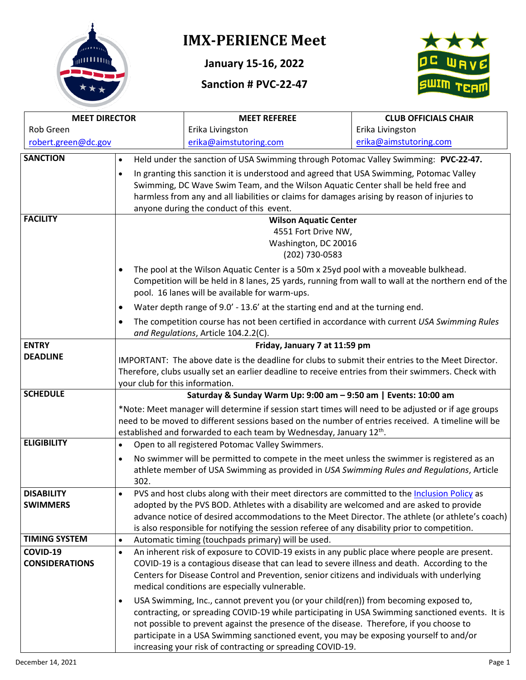

# **IMX-PERIENCE Meet**

**January 15-16, 2022**

## **Sanction # PVC-22-47**



| <b>MEET DIRECTOR</b>  |                                                                                                                                                  | <b>MEET REFEREE</b>                                                                                                                                 | <b>CLUB OFFICIALS CHAIR</b> |  |  |  |
|-----------------------|--------------------------------------------------------------------------------------------------------------------------------------------------|-----------------------------------------------------------------------------------------------------------------------------------------------------|-----------------------------|--|--|--|
| Rob Green             |                                                                                                                                                  | Erika Livingston                                                                                                                                    | Erika Livingston            |  |  |  |
| robert.green@dc.gov   |                                                                                                                                                  | erika@aimstutoring.com                                                                                                                              | erika@aimstutoring.com      |  |  |  |
| <b>SANCTION</b>       | Held under the sanction of USA Swimming through Potomac Valley Swimming: PVC-22-47.<br>$\bullet$                                                 |                                                                                                                                                     |                             |  |  |  |
|                       | $\bullet$                                                                                                                                        | In granting this sanction it is understood and agreed that USA Swimming, Potomac Valley                                                             |                             |  |  |  |
|                       |                                                                                                                                                  | Swimming, DC Wave Swim Team, and the Wilson Aquatic Center shall be held free and                                                                   |                             |  |  |  |
|                       | harmless from any and all liabilities or claims for damages arising by reason of injuries to                                                     |                                                                                                                                                     |                             |  |  |  |
|                       | anyone during the conduct of this event.                                                                                                         |                                                                                                                                                     |                             |  |  |  |
| <b>FACILITY</b>       | <b>Wilson Aquatic Center</b>                                                                                                                     |                                                                                                                                                     |                             |  |  |  |
|                       | 4551 Fort Drive NW,                                                                                                                              |                                                                                                                                                     |                             |  |  |  |
|                       |                                                                                                                                                  | Washington, DC 20016                                                                                                                                |                             |  |  |  |
|                       | (202) 730-0583                                                                                                                                   |                                                                                                                                                     |                             |  |  |  |
|                       | $\bullet$                                                                                                                                        | The pool at the Wilson Aquatic Center is a 50m x 25yd pool with a moveable bulkhead.                                                                |                             |  |  |  |
|                       |                                                                                                                                                  | Competition will be held in 8 lanes, 25 yards, running from wall to wall at the northern end of the                                                 |                             |  |  |  |
|                       |                                                                                                                                                  | pool. 16 lanes will be available for warm-ups.                                                                                                      |                             |  |  |  |
|                       | ٠                                                                                                                                                | Water depth range of 9.0' - 13.6' at the starting end and at the turning end.                                                                       |                             |  |  |  |
|                       | The competition course has not been certified in accordance with current USA Swimming Rules<br>$\bullet$<br>and Regulations, Article 104.2.2(C). |                                                                                                                                                     |                             |  |  |  |
| <b>ENTRY</b>          |                                                                                                                                                  | Friday, January 7 at 11:59 pm                                                                                                                       |                             |  |  |  |
| <b>DEADLINE</b>       | IMPORTANT: The above date is the deadline for clubs to submit their entries to the Meet Director.                                                |                                                                                                                                                     |                             |  |  |  |
|                       |                                                                                                                                                  | Therefore, clubs usually set an earlier deadline to receive entries from their swimmers. Check with                                                 |                             |  |  |  |
|                       | your club for this information.                                                                                                                  |                                                                                                                                                     |                             |  |  |  |
| <b>SCHEDULE</b>       |                                                                                                                                                  | Saturday & Sunday Warm Up: 9:00 am - 9:50 am   Events: 10:00 am                                                                                     |                             |  |  |  |
|                       | *Note: Meet manager will determine if session start times will need to be adjusted or if age groups                                              |                                                                                                                                                     |                             |  |  |  |
|                       | need to be moved to different sessions based on the number of entries received. A timeline will be                                               |                                                                                                                                                     |                             |  |  |  |
|                       |                                                                                                                                                  | established and forwarded to each team by Wednesday, January 12 <sup>th</sup> .                                                                     |                             |  |  |  |
| <b>ELIGIBILITY</b>    | $\bullet$                                                                                                                                        | Open to all registered Potomac Valley Swimmers.                                                                                                     |                             |  |  |  |
|                       | No swimmer will be permitted to compete in the meet unless the swimmer is registered as an<br>$\bullet$                                          |                                                                                                                                                     |                             |  |  |  |
|                       | athlete member of USA Swimming as provided in USA Swimming Rules and Regulations, Article                                                        |                                                                                                                                                     |                             |  |  |  |
|                       | 302.                                                                                                                                             |                                                                                                                                                     |                             |  |  |  |
| <b>DISABILITY</b>     | $\bullet$                                                                                                                                        | PVS and host clubs along with their meet directors are committed to the Inclusion Policy as                                                         |                             |  |  |  |
| <b>SWIMMERS</b>       |                                                                                                                                                  | adopted by the PVS BOD. Athletes with a disability are welcomed and are asked to provide                                                            |                             |  |  |  |
|                       |                                                                                                                                                  | advance notice of desired accommodations to the Meet Director. The athlete (or athlete's coach)                                                     |                             |  |  |  |
| <b>TIMING SYSTEM</b>  | $\bullet$                                                                                                                                        | is also responsible for notifying the session referee of any disability prior to competition.<br>Automatic timing (touchpads primary) will be used. |                             |  |  |  |
| COVID-19              | $\bullet$                                                                                                                                        | An inherent risk of exposure to COVID-19 exists in any public place where people are present.                                                       |                             |  |  |  |
| <b>CONSIDERATIONS</b> |                                                                                                                                                  | COVID-19 is a contagious disease that can lead to severe illness and death. According to the                                                        |                             |  |  |  |
|                       |                                                                                                                                                  |                                                                                                                                                     |                             |  |  |  |
|                       | Centers for Disease Control and Prevention, senior citizens and individuals with underlying<br>medical conditions are especially vulnerable.     |                                                                                                                                                     |                             |  |  |  |
|                       | USA Swimming, Inc., cannot prevent you (or your child(ren)) from becoming exposed to,<br>$\bullet$                                               |                                                                                                                                                     |                             |  |  |  |
|                       | contracting, or spreading COVID-19 while participating in USA Swimming sanctioned events. It is                                                  |                                                                                                                                                     |                             |  |  |  |
|                       | not possible to prevent against the presence of the disease. Therefore, if you choose to                                                         |                                                                                                                                                     |                             |  |  |  |
|                       | participate in a USA Swimming sanctioned event, you may be exposing yourself to and/or                                                           |                                                                                                                                                     |                             |  |  |  |
|                       |                                                                                                                                                  | increasing your risk of contracting or spreading COVID-19.                                                                                          |                             |  |  |  |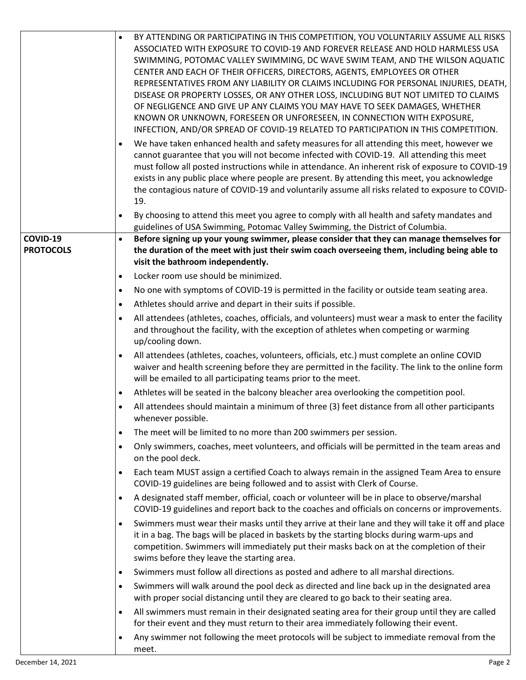|                  | BY ATTENDING OR PARTICIPATING IN THIS COMPETITION, YOU VOLUNTARILY ASSUME ALL RISKS<br>$\bullet$                                                                                                          |
|------------------|-----------------------------------------------------------------------------------------------------------------------------------------------------------------------------------------------------------|
|                  | ASSOCIATED WITH EXPOSURE TO COVID-19 AND FOREVER RELEASE AND HOLD HARMLESS USA<br>SWIMMING, POTOMAC VALLEY SWIMMING, DC WAVE SWIM TEAM, AND THE WILSON AQUATIC                                            |
|                  | CENTER AND EACH OF THEIR OFFICERS, DIRECTORS, AGENTS, EMPLOYEES OR OTHER                                                                                                                                  |
|                  | REPRESENTATIVES FROM ANY LIABILITY OR CLAIMS INCLUDING FOR PERSONAL INJURIES, DEATH,                                                                                                                      |
|                  | DISEASE OR PROPERTY LOSSES, OR ANY OTHER LOSS, INCLUDING BUT NOT LIMITED TO CLAIMS                                                                                                                        |
|                  | OF NEGLIGENCE AND GIVE UP ANY CLAIMS YOU MAY HAVE TO SEEK DAMAGES, WHETHER                                                                                                                                |
|                  | KNOWN OR UNKNOWN, FORESEEN OR UNFORESEEN, IN CONNECTION WITH EXPOSURE,<br>INFECTION, AND/OR SPREAD OF COVID-19 RELATED TO PARTICIPATION IN THIS COMPETITION.                                              |
|                  | We have taken enhanced health and safety measures for all attending this meet, however we<br>$\bullet$                                                                                                    |
|                  | cannot guarantee that you will not become infected with COVID-19. All attending this meet                                                                                                                 |
|                  | must follow all posted instructions while in attendance. An inherent risk of exposure to COVID-19                                                                                                         |
|                  | exists in any public place where people are present. By attending this meet, you acknowledge                                                                                                              |
|                  | the contagious nature of COVID-19 and voluntarily assume all risks related to exposure to COVID-<br>19.                                                                                                   |
|                  | By choosing to attend this meet you agree to comply with all health and safety mandates and<br>$\bullet$                                                                                                  |
|                  | guidelines of USA Swimming, Potomac Valley Swimming, the District of Columbia.                                                                                                                            |
| COVID-19         | Before signing up your young swimmer, please consider that they can manage themselves for<br>$\bullet$                                                                                                    |
| <b>PROTOCOLS</b> | the duration of the meet with just their swim coach overseeing them, including being able to                                                                                                              |
|                  | visit the bathroom independently.<br>Locker room use should be minimized.                                                                                                                                 |
|                  | $\bullet$<br>No one with symptoms of COVID-19 is permitted in the facility or outside team seating area.<br>$\bullet$                                                                                     |
|                  | Athletes should arrive and depart in their suits if possible.<br>$\bullet$                                                                                                                                |
|                  | All attendees (athletes, coaches, officials, and volunteers) must wear a mask to enter the facility<br>$\bullet$                                                                                          |
|                  | and throughout the facility, with the exception of athletes when competing or warming                                                                                                                     |
|                  | up/cooling down.                                                                                                                                                                                          |
|                  | All attendees (athletes, coaches, volunteers, officials, etc.) must complete an online COVID<br>$\bullet$                                                                                                 |
|                  | waiver and health screening before they are permitted in the facility. The link to the online form                                                                                                        |
|                  | will be emailed to all participating teams prior to the meet.<br>Athletes will be seated in the balcony bleacher area overlooking the competition pool.<br>$\bullet$                                      |
|                  | All attendees should maintain a minimum of three (3) feet distance from all other participants<br>$\bullet$                                                                                               |
|                  | whenever possible.                                                                                                                                                                                        |
|                  | The meet will be limited to no more than 200 swimmers per session.<br>$\bullet$                                                                                                                           |
|                  | Only swimmers, coaches, meet volunteers, and officials will be permitted in the team areas and<br>$\bullet$<br>on the pool deck.                                                                          |
|                  | Each team MUST assign a certified Coach to always remain in the assigned Team Area to ensure<br>٠<br>COVID-19 guidelines are being followed and to assist with Clerk of Course.                           |
|                  | A designated staff member, official, coach or volunteer will be in place to observe/marshal<br>$\bullet$<br>COVID-19 guidelines and report back to the coaches and officials on concerns or improvements. |
|                  | Swimmers must wear their masks until they arrive at their lane and they will take it off and place<br>$\bullet$                                                                                           |
|                  | it in a bag. The bags will be placed in baskets by the starting blocks during warm-ups and                                                                                                                |
|                  | competition. Swimmers will immediately put their masks back on at the completion of their                                                                                                                 |
|                  | swims before they leave the starting area.<br>Swimmers must follow all directions as posted and adhere to all marshal directions.<br>$\bullet$                                                            |
|                  | Swimmers will walk around the pool deck as directed and line back up in the designated area<br>$\bullet$                                                                                                  |
|                  | with proper social distancing until they are cleared to go back to their seating area.                                                                                                                    |
|                  | All swimmers must remain in their designated seating area for their group until they are called<br>$\bullet$<br>for their event and they must return to their area immediately following their event.     |
|                  | Any swimmer not following the meet protocols will be subject to immediate removal from the<br>$\bullet$                                                                                                   |
|                  | meet.                                                                                                                                                                                                     |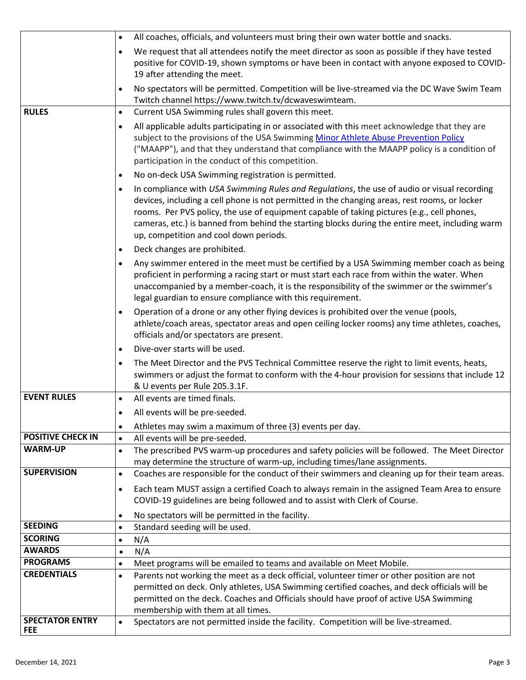|                          | All coaches, officials, and volunteers must bring their own water bottle and snacks.<br>$\bullet$                                                                                                                                                                                                                                                                                                                                                    |  |  |  |  |
|--------------------------|------------------------------------------------------------------------------------------------------------------------------------------------------------------------------------------------------------------------------------------------------------------------------------------------------------------------------------------------------------------------------------------------------------------------------------------------------|--|--|--|--|
|                          | We request that all attendees notify the meet director as soon as possible if they have tested<br>$\bullet$                                                                                                                                                                                                                                                                                                                                          |  |  |  |  |
|                          | positive for COVID-19, shown symptoms or have been in contact with anyone exposed to COVID-                                                                                                                                                                                                                                                                                                                                                          |  |  |  |  |
|                          | 19 after attending the meet.                                                                                                                                                                                                                                                                                                                                                                                                                         |  |  |  |  |
|                          | No spectators will be permitted. Competition will be live-streamed via the DC Wave Swim Team<br>$\bullet$                                                                                                                                                                                                                                                                                                                                            |  |  |  |  |
|                          | Twitch channel https://www.twitch.tv/dcwaveswimteam.                                                                                                                                                                                                                                                                                                                                                                                                 |  |  |  |  |
| <b>RULES</b>             | Current USA Swimming rules shall govern this meet.<br>$\bullet$                                                                                                                                                                                                                                                                                                                                                                                      |  |  |  |  |
|                          | All applicable adults participating in or associated with this meet acknowledge that they are<br>$\bullet$                                                                                                                                                                                                                                                                                                                                           |  |  |  |  |
|                          | subject to the provisions of the USA Swimming Minor Athlete Abuse Prevention Policy<br>("MAAPP"), and that they understand that compliance with the MAAPP policy is a condition of<br>participation in the conduct of this competition.                                                                                                                                                                                                              |  |  |  |  |
|                          | No on-deck USA Swimming registration is permitted.<br>$\bullet$                                                                                                                                                                                                                                                                                                                                                                                      |  |  |  |  |
|                          | In compliance with USA Swimming Rules and Regulations, the use of audio or visual recording<br>$\bullet$<br>devices, including a cell phone is not permitted in the changing areas, rest rooms, or locker<br>rooms. Per PVS policy, the use of equipment capable of taking pictures (e.g., cell phones,<br>cameras, etc.) is banned from behind the starting blocks during the entire meet, including warm<br>up, competition and cool down periods. |  |  |  |  |
|                          | Deck changes are prohibited.<br>$\bullet$                                                                                                                                                                                                                                                                                                                                                                                                            |  |  |  |  |
|                          | Any swimmer entered in the meet must be certified by a USA Swimming member coach as being<br>$\bullet$<br>proficient in performing a racing start or must start each race from within the water. When<br>unaccompanied by a member-coach, it is the responsibility of the swimmer or the swimmer's<br>legal guardian to ensure compliance with this requirement.                                                                                     |  |  |  |  |
|                          | Operation of a drone or any other flying devices is prohibited over the venue (pools,<br>$\bullet$<br>athlete/coach areas, spectator areas and open ceiling locker rooms) any time athletes, coaches,<br>officials and/or spectators are present.                                                                                                                                                                                                    |  |  |  |  |
|                          | Dive-over starts will be used.<br>$\bullet$                                                                                                                                                                                                                                                                                                                                                                                                          |  |  |  |  |
|                          | The Meet Director and the PVS Technical Committee reserve the right to limit events, heats,<br>$\bullet$<br>swimmers or adjust the format to conform with the 4-hour provision for sessions that include 12<br>& U events per Rule 205.3.1F.                                                                                                                                                                                                         |  |  |  |  |
| <b>EVENT RULES</b>       | All events are timed finals.<br>$\bullet$                                                                                                                                                                                                                                                                                                                                                                                                            |  |  |  |  |
|                          | All events will be pre-seeded                                                                                                                                                                                                                                                                                                                                                                                                                        |  |  |  |  |
|                          |                                                                                                                                                                                                                                                                                                                                                                                                                                                      |  |  |  |  |
| <b>POSITIVE CHECK IN</b> | Athletes may swim a maximum of three (3) events per day.<br>$\bullet$                                                                                                                                                                                                                                                                                                                                                                                |  |  |  |  |
| <b>WARM-UP</b>           | All events will be pre-seeded.<br>$\bullet$                                                                                                                                                                                                                                                                                                                                                                                                          |  |  |  |  |
|                          | The prescribed PVS warm-up procedures and safety policies will be followed. The Meet Director<br>$\bullet$<br>may determine the structure of warm-up, including times/lane assignments.                                                                                                                                                                                                                                                              |  |  |  |  |
| <b>SUPERVISION</b>       | Coaches are responsible for the conduct of their swimmers and cleaning up for their team areas.<br>$\bullet$                                                                                                                                                                                                                                                                                                                                         |  |  |  |  |
|                          |                                                                                                                                                                                                                                                                                                                                                                                                                                                      |  |  |  |  |
|                          | Each team MUST assign a certified Coach to always remain in the assigned Team Area to ensure<br>$\bullet$<br>COVID-19 guidelines are being followed and to assist with Clerk of Course.                                                                                                                                                                                                                                                              |  |  |  |  |
|                          | No spectators will be permitted in the facility.<br>$\bullet$                                                                                                                                                                                                                                                                                                                                                                                        |  |  |  |  |
| <b>SEEDING</b>           | Standard seeding will be used.<br>$\bullet$                                                                                                                                                                                                                                                                                                                                                                                                          |  |  |  |  |
| <b>SCORING</b>           | N/A<br>$\bullet$                                                                                                                                                                                                                                                                                                                                                                                                                                     |  |  |  |  |
| <b>AWARDS</b>            | N/A<br>$\bullet$                                                                                                                                                                                                                                                                                                                                                                                                                                     |  |  |  |  |
| <b>PROGRAMS</b>          | Meet programs will be emailed to teams and available on Meet Mobile.<br>$\bullet$                                                                                                                                                                                                                                                                                                                                                                    |  |  |  |  |
| <b>CREDENTIALS</b>       | Parents not working the meet as a deck official, volunteer timer or other position are not<br>$\bullet$                                                                                                                                                                                                                                                                                                                                              |  |  |  |  |
|                          | permitted on deck. Only athletes, USA Swimming certified coaches, and deck officials will be                                                                                                                                                                                                                                                                                                                                                         |  |  |  |  |
|                          | permitted on the deck. Coaches and Officials should have proof of active USA Swimming<br>membership with them at all times.                                                                                                                                                                                                                                                                                                                          |  |  |  |  |
| <b>SPECTATOR ENTRY</b>   | Spectators are not permitted inside the facility. Competition will be live-streamed.<br>$\bullet$                                                                                                                                                                                                                                                                                                                                                    |  |  |  |  |
| <b>FEE</b>               |                                                                                                                                                                                                                                                                                                                                                                                                                                                      |  |  |  |  |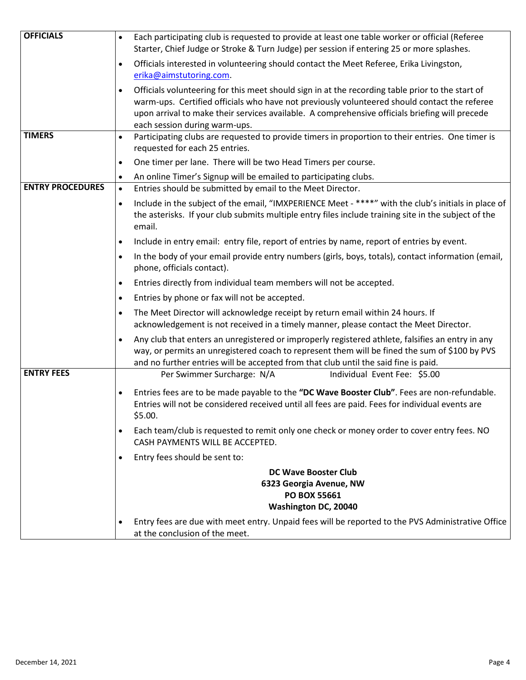| <b>OFFICIALS</b>        | Each participating club is requested to provide at least one table worker or official (Referee<br>$\bullet$<br>Starter, Chief Judge or Stroke & Turn Judge) per session if entering 25 or more splashes.                                                                                                                                         |  |  |  |  |
|-------------------------|--------------------------------------------------------------------------------------------------------------------------------------------------------------------------------------------------------------------------------------------------------------------------------------------------------------------------------------------------|--|--|--|--|
|                         | Officials interested in volunteering should contact the Meet Referee, Erika Livingston,<br>$\bullet$                                                                                                                                                                                                                                             |  |  |  |  |
|                         | erika@aimstutoring.com.                                                                                                                                                                                                                                                                                                                          |  |  |  |  |
|                         | Officials volunteering for this meet should sign in at the recording table prior to the start of<br>$\bullet$<br>warm-ups. Certified officials who have not previously volunteered should contact the referee<br>upon arrival to make their services available. A comprehensive officials briefing will precede<br>each session during warm-ups. |  |  |  |  |
| <b>TIMERS</b>           | Participating clubs are requested to provide timers in proportion to their entries. One timer is<br>$\bullet$<br>requested for each 25 entries.                                                                                                                                                                                                  |  |  |  |  |
|                         | One timer per lane. There will be two Head Timers per course.<br>$\bullet$                                                                                                                                                                                                                                                                       |  |  |  |  |
|                         | An online Timer's Signup will be emailed to participating clubs.<br>$\bullet$                                                                                                                                                                                                                                                                    |  |  |  |  |
| <b>ENTRY PROCEDURES</b> | Entries should be submitted by email to the Meet Director.<br>$\bullet$                                                                                                                                                                                                                                                                          |  |  |  |  |
|                         | Include in the subject of the email, "IMXPERIENCE Meet - ****" with the club's initials in place of<br>$\bullet$<br>the asterisks. If your club submits multiple entry files include training site in the subject of the<br>email.                                                                                                               |  |  |  |  |
|                         | Include in entry email: entry file, report of entries by name, report of entries by event.<br>$\bullet$                                                                                                                                                                                                                                          |  |  |  |  |
|                         | In the body of your email provide entry numbers (girls, boys, totals), contact information (email,<br>$\bullet$<br>phone, officials contact).                                                                                                                                                                                                    |  |  |  |  |
|                         | Entries directly from individual team members will not be accepted.<br>$\bullet$                                                                                                                                                                                                                                                                 |  |  |  |  |
|                         | Entries by phone or fax will not be accepted.<br>$\bullet$                                                                                                                                                                                                                                                                                       |  |  |  |  |
|                         | The Meet Director will acknowledge receipt by return email within 24 hours. If<br>$\bullet$<br>acknowledgement is not received in a timely manner, please contact the Meet Director.                                                                                                                                                             |  |  |  |  |
|                         | Any club that enters an unregistered or improperly registered athlete, falsifies an entry in any<br>$\bullet$<br>way, or permits an unregistered coach to represent them will be fined the sum of \$100 by PVS<br>and no further entries will be accepted from that club until the said fine is paid.                                            |  |  |  |  |
| <b>ENTRY FEES</b>       | Per Swimmer Surcharge: N/A<br>Individual Event Fee: \$5.00                                                                                                                                                                                                                                                                                       |  |  |  |  |
|                         | Entries fees are to be made payable to the "DC Wave Booster Club". Fees are non-refundable.<br>$\bullet$<br>Entries will not be considered received until all fees are paid. Fees for individual events are<br>\$5.00.                                                                                                                           |  |  |  |  |
|                         | Each team/club is requested to remit only one check or money order to cover entry fees. NO<br>$\bullet$<br>CASH PAYMENTS WILL BE ACCEPTED.                                                                                                                                                                                                       |  |  |  |  |
|                         | Entry fees should be sent to:<br>$\bullet$                                                                                                                                                                                                                                                                                                       |  |  |  |  |
|                         | <b>DC Wave Booster Club</b>                                                                                                                                                                                                                                                                                                                      |  |  |  |  |
|                         | 6323 Georgia Avenue, NW                                                                                                                                                                                                                                                                                                                          |  |  |  |  |
|                         | <b>PO BOX 55661</b>                                                                                                                                                                                                                                                                                                                              |  |  |  |  |
|                         | Washington DC, 20040                                                                                                                                                                                                                                                                                                                             |  |  |  |  |
|                         | Entry fees are due with meet entry. Unpaid fees will be reported to the PVS Administrative Office<br>$\bullet$<br>at the conclusion of the meet.                                                                                                                                                                                                 |  |  |  |  |